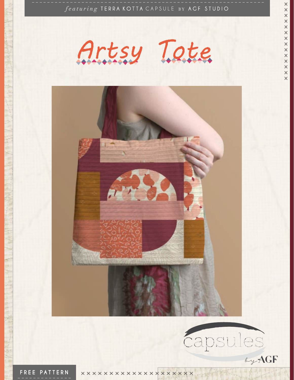*featuring* TERRA KOTTA CAPSULE BY AGF STUDIO

Artsy Tote

**XXXXXXXXXXXXX** 

 $\times$ 



FREE PATTERN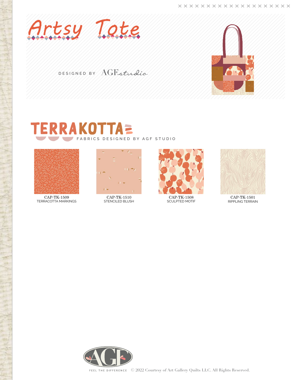

DESIGNED BY AGFStudio



## **RRAKOTTAE** FABRICS DESIGNED BY AGF STUDIO



CAP-TK-1509 TERRACOTTA MARKINGS



CAP-TK-1510 STENCILED BLUSH



CAP-TK-1508 SCULPTED MOTIF



CAP-TK-1501 RIPPLING TERRAIN

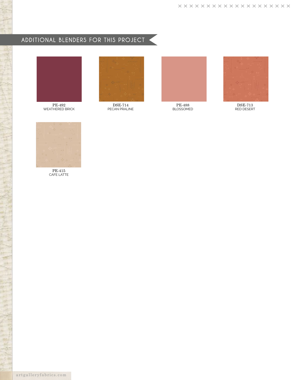# ADDITIONAL BLENDERS FOR THIS PROJECT



PE-492 WEATHERED BRICK



DSE-714 PECAN PRALINE



PE-488 BLOSSOMED



DSE-713 RED DESERT



PE-415 CAFE LATTE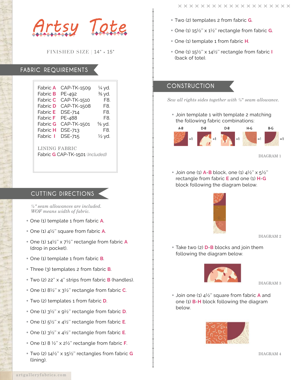Artsy Tote

FINISHED SIZE | 14" × 15"

## FABRIC REQUIREMENTS

| Fabric <b>A</b>                                  | CAP-TK-1509 | 1⁄4 yd. |
|--------------------------------------------------|-------------|---------|
| Fabric <b>B</b>                                  | PE-492      | ¾ yd.   |
| Fabric <b>C</b>                                  | CAP-TK-1510 | F8.     |
| Fabric <b>D</b>                                  | CAP-TK-1508 | F8.     |
| Fabric <b>E</b>                                  | DSE-714     | F8.     |
| Fabric <b>F</b>                                  | PE-488      | F8.     |
| Fabric <b>G</b>                                  | CAP-TK-1501 | % yd.   |
| Fabric <b>H</b>                                  | DSE-713     | F8.     |
| Fabric I                                         | DSE-715     | ½ yd.   |
| LINING FABRIC<br>Fabric G CAP-TK-1501 (Included) |             |         |

## CUTTING DIRECTIONS

*¼" seam allowances are included. WOF means width of fabric.*

- One (1) template 1 from fabric **A**.
- One (1) 4½'' square from fabric **A**.
- One (1) 14½'' x 7½'' rectangle from fabric **A** (drop in pocket).
- One (1) template 1 from fabric **B**.
- Three (3) templates 2 from fabric **B**.
- Two (2) 22'' x 4'' strips from fabric **B** (handles).
- One (1) 8½'' x 3½'' rectangle from fabric **C**.
- Two (2) templates 1 from fabric **D**.
- One (1) 3½'' x 9½'' rectangle from fabric **D**.
- One (1) 5½'' x 4½'' rectangle from fabric **E**.
- One (1) 3½'' x 4½'' rectangle from fabric **E**.
- One (1) 8 ½'' x 2½'' rectangle from fabric **F**.
- Two (2) 14½'' x 15½'' rectangles from fabric **G** (lining).
- Two (2) templates 2 from fabric **G**.
- One (1) 15½'' x 1½'' rectangle from fabric **G**.
- One (1) template 1 from fabric **H**.
- One (1) 15½'' x 14½'' rectangle from fabric **I** (back of tote).

## CONSTRUCTION

*Sew all rights sides together with ¼*" *seam allowance.* 

• Join template 1 with template 2 matching the following fabric combinations:



DIAGRAM 1

• Join one (1) **A**-**B** block, one (1) 4½'' x 5½'' rectangle from fabric **E** and one (1) **H**-**G** block following the diagram below.



DIAGRAM 2

• Take two (2) **D**-**B** blocks and join them following the diagram below.



DIAGRAM 3

• Join one (1) 4½'' square from fabric **A** and one (1) **B**-**H** block following the diagram below.



DIAGRAM 4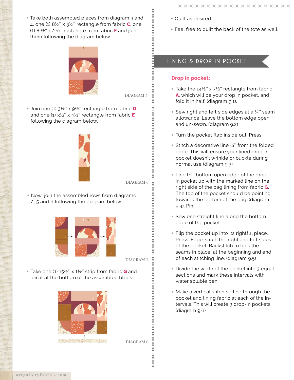• Feel free to quilt the back of the tote as well.

• Take both assembled pieces from diagram 3 and 4, one (1) 8½'' x 3½'' rectangle from fabric **C**, one (1) 8 ½'' x 2 ½'' rectangle from fabric **F** and join them following the diagram below.



DIAGRAM 5

• Join one (1) 3½'' x 9½'' rectangle from fabric **D** and one (1) 3½'' x 4½'' rectangle from fabric **E** following the diagram below.



#### DIAGRAM 6

• Now, join the assembled rows from diagrams 2, 5 and 6 following the diagram below.



DIAGRAM 7

• Take one (1) 15½'' x 1½'' strip from fabric **G** and join it at the bottom of the assembled block.



DIAGRAM 8

LINING & DROP IN POCKET

#### **Drop in pocket:**

• Quilt as desired.

- Take the  $14\frac{1}{2}$ " x 7<sup>1</sup>/<sub>2</sub>" rectangle from fabric **A**, which will be your drop in pocket, and fold it in half. (diagram 9.1).
- Sew right and left side edges at a  $\frac{1}{4}$ " seam allowance. Leave the bottom edge open and un-sewn. (diagram 9.2)
- Turn the pocket flap inside out. Press.
- $\bullet$  Stitch a decorative line  $\frac{1}{4}$ " from the folded edge. This will ensure your lined drop-in pocket doesn't wrinkle or buckle during normal use (diagram 9.3)
- Line the bottom open edge of the dropin pocket up with the marked line on the right side of the bag lining from fabric **G**. The top of the pocket should be pointing towards the bottom of the bag. (diagram 9.4). Pin.
- Sew one straight line along the bottom edge of the pocket.
- Flip the pocket up into its rightful place. Press. Edge-stitch the right and left sides of the pocket. Backstitch to lock the seams in place, at the beginning and end of each stitching line. (diagram 9.5)
- Divide the width of the pocket into 3 equal sections and mark these intervals with water soluble pen.
- Make a vertical stitching line through the pocket and lining fabric at each of the intervals. This will create 3 drop-in pockets. (diagram 9.6)

artgalleryfabrics.com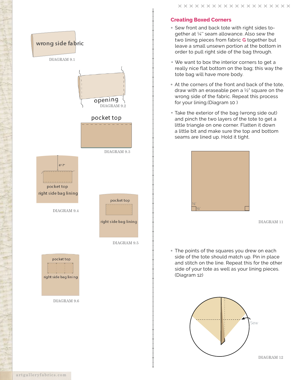

DIAGRAM 9.6

#### **Creating Boxed Corners**

- Sew front and back tote with right sides together at ¼'' seam allowance. Also sew the two lining pieces from fabric **G** together but leave a small unsewn portion at the bottom in order to pull right side of the bag through.
- We want to box the interior corners to get a really nice flat bottom on the bag; this way the tote bag will have more body.
- At the corners of the front and back of the tote, draw with an eraseable pen a  $\frac{1}{2}$ " square on the wrong side of the fabric. Repeat this process for your lining.(Diagram 10 )
- Take the exterior of the bag (wrong side out) and pinch the two layers of the tote to get a little triangle on one corner. Flatten it down a little bit and make sure the top and bottom seams are lined up. Hold it tight.



DIAGRAM 11

• The points of the squares you drew on each side of the tote should match up. Pin in place and stitch on the line. Repeat this for the other side of your tote as well as your lining pieces. (Diagram 12)



DIAGRAM 12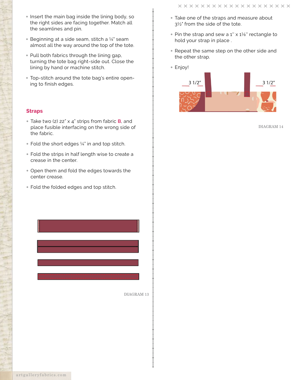- Insert the main bag inside the lining body, so the right sides are facing together. Match all the seamlines and pin.
- Beginning at a side seam, stitch a  $\frac{1}{4}$  seam almost all the way around the top of the tote.
- Pull both fabrics through the lining gap, turning the tote bag right-side out. Close the lining by hand or machine stitch.
- Top-stitch around the tote bag's entire opening to finish edges.

#### **Straps**

- Take two (2) 22" x 4" strips from fabric **B**, and place fusible interfacing on the wrong side of the fabric.
- Fold the short edges  $\frac{1}{4}$ " in and top stitch.
- Fold the strips in half length wise to create a crease in the center.
- Open them and fold the edges towards the center crease.
- Fold the folded edges and top stitch.
- Take one of the straps and measure about 3½" from the side of the tote.
- Pin the strap and sew a 1" x 1<sup>1/8</sup>" rectangle to hold your strap in place .
- Repeat the same step on the other side and the other strap.
- Enjoy!



DIAGRAM 14

DIAGRAM 13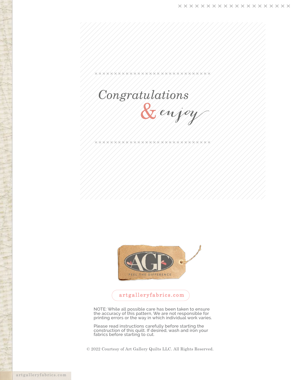



**xxxxxxxxxxxxxxxxxxxxxxxxxxxxxx** 



### artgalleryfabrics.com

NOTE: While all possible care has been taken to ensure the accuracy of this pattern, We are not responsible for printing errors or the way in which individual work varies.

Please read instructions carefully before starting the construction of this quilt. If desired, wash and iron your fabrics before starting to cut.

© 2022 Courtesy of Art Gallery Quilts LLC. All Rights Reserved.